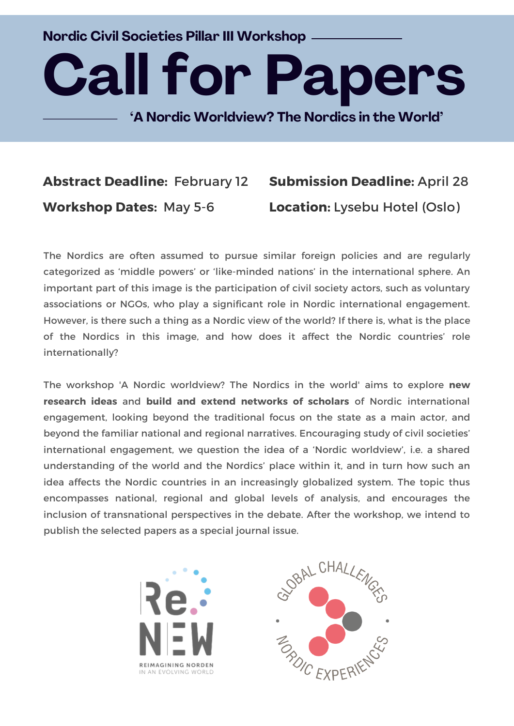**Nordic Civil Societies Pillar III Workshop**

# **Call for Papers**

**'A Nordic Worldview? The Nordics in the World'**

### **Abstract Deadline:** February 12 **Submission Deadline:** April 28 **Workshop Dates:** May 5-6 **Location:** Lysebu Hotel (Oslo)

The Nordics are often assumed to pursue similar foreign policies and are regularly categorized as 'middle powers' or 'like-minded nations' in the international sphere. An important part of this image is the participation of civil society actors, such as voluntary associations or NGOs, who play a significant role in Nordic international engagement. However, is there such a thing as a Nordic view of the world? If there is, what is the place of the Nordics in this image, and how does it affect the Nordic countries' role internationally?

The workshop 'A Nordic worldview? The Nordics in the world' aims to explore **new research ideas** and **build and extend networks of scholars** of Nordic international engagement, looking beyond the traditional focus on the state as a main actor, and beyond the familiar national and regional narratives. Encouraging study of civil societies' international engagement, we question the idea of a 'Nordic worldview', i.e. a shared understanding of the world and the Nordics' place within it, and in turn how such an idea affects the Nordic countries in an increasingly globalized system. The topic thus encompasses national, regional and global levels of analysis, and encourages the inclusion of transnational perspectives in the debate. After the workshop, we intend to publish the selected papers as a special journal issue.